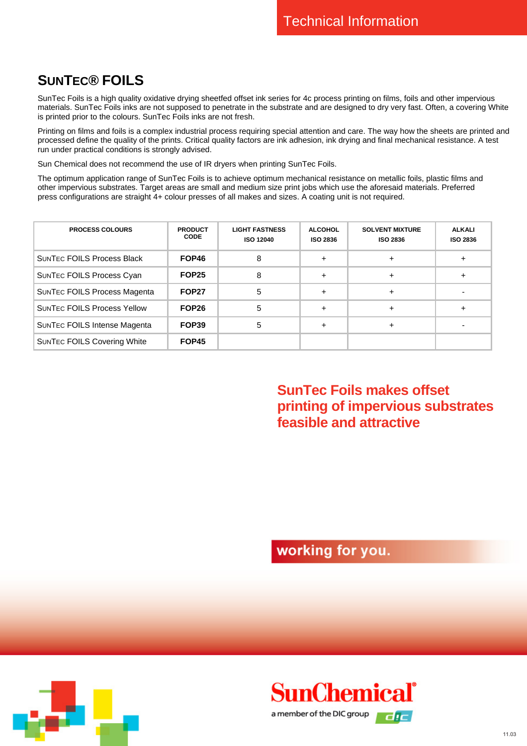## **SUNTEC® FOILS**

SunTec Foils is a high quality oxidative drying sheetfed offset ink series for 4c process printing on films, foils and other impervious materials. SunTec Foils inks are not supposed to penetrate in the substrate and are designed to dry very fast. Often, a covering White is printed prior to the colours. SunTec Foils inks are not fresh.

Printing on films and foils is a complex industrial process requiring special attention and care. The way how the sheets are printed and processed define the quality of the prints. Critical quality factors are ink adhesion, ink drying and final mechanical resistance. A test run under practical conditions is strongly advised.

Sun Chemical does not recommend the use of IR dryers when printing SunTec Foils.

The optimum application range of SunTec Foils is to achieve optimum mechanical resistance on metallic foils, plastic films and other impervious substrates. Target areas are small and medium size print jobs which use the aforesaid materials. Preferred press configurations are straight 4+ colour presses of all makes and sizes. A coating unit is not required.

| <b>PROCESS COLOURS</b>              | <b>PRODUCT</b><br><b>CODE</b> | <b>LIGHT FASTNESS</b><br><b>ISO 12040</b> | <b>ALCOHOL</b><br><b>ISO 2836</b> | <b>SOLVENT MIXTURE</b><br><b>ISO 2836</b> | <b>ALKALI</b><br><b>ISO 2836</b> |
|-------------------------------------|-------------------------------|-------------------------------------------|-----------------------------------|-------------------------------------------|----------------------------------|
| <b>SUNTEC FOILS Process Black</b>   | FOP46                         | 8                                         | $\div$                            | $\ddot{}$                                 |                                  |
| SUNTEC FOILS Process Cyan           | <b>FOP25</b>                  | 8                                         | $\div$                            | $\ddot{}$                                 |                                  |
| <b>SUNTEC FOILS Process Magenta</b> | FOP <sub>27</sub>             | 5                                         | $\div$                            | $\ddot{}$                                 |                                  |
| <b>SUNTEC FOILS Process Yellow</b>  | FOP <sub>26</sub>             | 5                                         | $\div$                            | $\ddot{}$                                 |                                  |
| <b>SUNTEC FOILS Intense Magenta</b> | FOP39                         | 5                                         | $\ddot{}$                         | $\ddot{}$                                 |                                  |
| <b>SUNTEC FOILS Covering White</b>  | FOP45                         |                                           |                                   |                                           |                                  |

**SunTec Foils makes offset printing of impervious substrates feasible and attractive** 

working for you.